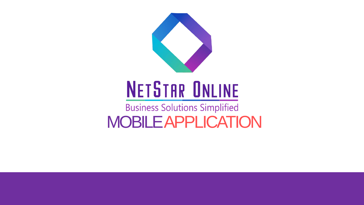

# **NETSTAR ONLINE**

**Business Solutions Simplified** MOBILEAPPLICATION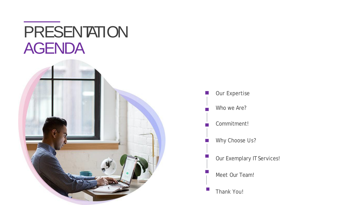# **PRESENTATION AGENDA**



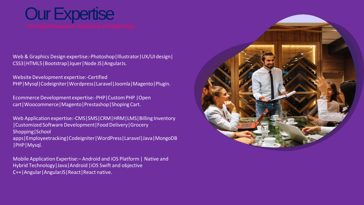# **Our Expertise**

Web & Graphics Design expertise:-Photoshop | Illustrator | UX/UI design | CSS3|HTML5|Bootstrap|Jquer|Node JS|AngularJs.

Website Development expertise:-Certified PHP|Mysql|Codeigniter|Wordpress|Laravel|Joomla|Magento|Plugin.

Ecommerce Development expertise:-PHP|CustomPHP |Open cart|Woocommerce|Magento|Prestashop|Shoping Cart.

Web Application expertise:-CMS|SMS|CRM|HRM|LMS|Billing Inventory |Customized Software Development|FoodDelivery|Grocery Shopping|School apps|Employeetracking|Codeigniter|WordPress|Laravel|Java|MongoDB |PHP|Mysql.

Mobile Application Expertise:– Android and iOS Platform| Native and Hybrid Technology|Java|Android |iOS Swift and objective C++|Angular|AngularJS|React|React native.

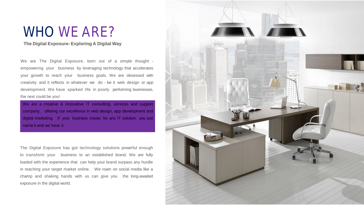## WHO WE ARE?

### **The Digital Exposure- Exploring A Digital Way**

We are The Digital Exposure, born out of a simple thought empowering your business by leveraging technology that accelerates your growth to reach your business goals. We are obsessed with creativity and it reflects in whatever we do - be it web design or app development. We have sparked life in poorly performing businesses, the next could be you!

We are a creative & innovative IT consulting, services and support company, offering our excellence in web design, app development and digital marketing. If your business craves for any IT solution, you just name it and we have it.

The Digital Exposure has got technology solutions powerful enough to transform your business to an established brand. We are fully loaded with the experience that can help your brand surpass any hurdle in reaching your target market online. We roam on social media like a champ and shaking hands with us can give you the long-awaited exposure in the digital world.

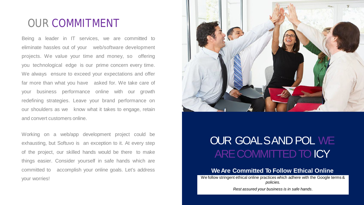### OUR COMMITMENT

Being a leader in IT services, we are committed to eliminate hassles out of your web/software development projects. We value your time and money, so offering you technological edge is our prime concern every time. We always ensure to exceed your expectations and offer far more than what you have asked for. We take care of your business performance online with our growth redefining strategies. Leave your brand performance on our shoulders as we know what it takes to engage, retain and convert customers online.

Working on a web/app development project could be exhausting, but Softuvo is an exception to it. At every step of the project, our skilled hands would be there to make things easier. Consider yourself in safe hands which are committed to accomplish your online goals. Let's address your worries!



### OUR GOALSAND POL WE ARE COMMITTED TO **CY**

### **WeAre Committed To Follow Ethical Online**

We follow stringent ethical online practices which adhere with the Google terms & *policies.*

*Rest assured your business is in safe hands*.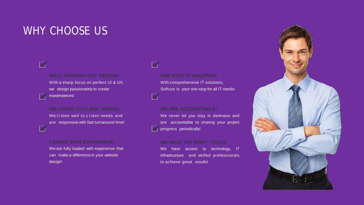### WHY CHOOSE US

### $\blacktriangledown$

 $\blacktriangleright$ 

 $\overline{\mathbf{v}}$ 

### **WELL THOUGHT-OUT DESIGN!**

With a sharp focus on perfect UI & UX, we design passionately to create

masterpieces!

### **WE LISTEN TO CLIENT NEEDS!**

We listen well to client needs and are responsive with fast turnaround time!

### **LOADED WITH EXPERIENCE!**

We are fully loaded with experience that can make a difference in your website design!

### **ONE-STOP IT SOLUTION!**

With comprehensive IT solutions, Softuvo is your one-stop for all IT needs!

### **WE ARE ACCOUNTABLE!**

We never let you stay in darkness and are accountable to sharing your project progress periodically!

### **WE HAVE THE RIGHT TOOLS!**

We have access to technology, IT infrastructure and skilled professionals to achieve great results!

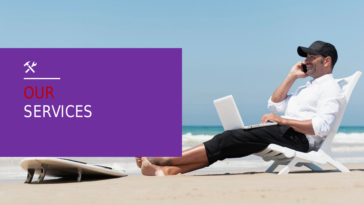# $x^*$ **OUR** SERVICES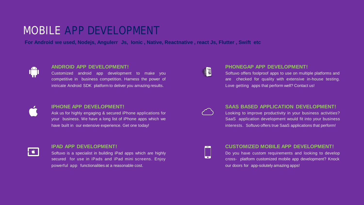### MOBILE APP DEVELOPMENT

For Android we used, Nodejs, Angulerr Js, Ionic, Native, Reactnative, react Js, Flutter, Swift etc



### **ANDROID APP DEVELOPMENT!**

Customized android app development to make you competitive in business competition. Harness the power of intricate Android SDK platform to deliver you amazing results.



#### **IPHONE APP DEVELOPMENT!**

Ask us for highly engaging & secured iPhone applications for your business. We have a long list of iPhone apps which we have built in our extensive experience. Get one today!



### **IPAD APP DEVELOPMENT!**

Softuvo is a specialist in building iPad apps which are highly secured for use in iPads and iPad mini screens. Enjoy powerful app functionalities at a reasonable cost.



#### **PHONEGAP APP DEVELOPMENT!**

Softuvo offers foolproof apps to use on multiple platforms and are checked for quality with extensive in-house testing. Love getting apps that perform well? Contact us!



#### **SAAS BASED APPLICATION DEVELOPMENT!**

Looking to improve productivity in your business activities? SaaS application development would fit into your business interests. Softuvo offers true SaaS applications that perform!



### **CUSTOMIZED MOBILE APP DEVELOPMENT!**

Do you have custom requirements and looking to develop cross- platform customized mobile app development? Knock our doors for app-solutely amazing apps!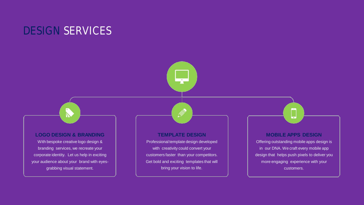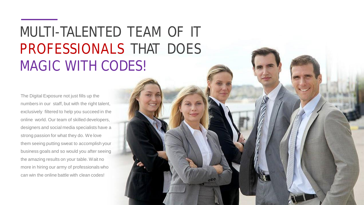# MULTI-TALENTED TEAM OF IT PROFESSIONALS THAT DOES MAGIC WITH CODES!

The Digital Exposure not just fills up the numbers in our staff, but with the right talent, exclusively filtered to help you succeed in the online world. Our team of skilled developers, designers and social media specialists have a strong passion for what they do. We love them seeing putting sweat to accomplish your business goals and so would you after seeing the amazing results on your table. Wait no more in hiring our army of professionals who can win the online battle with clean codes!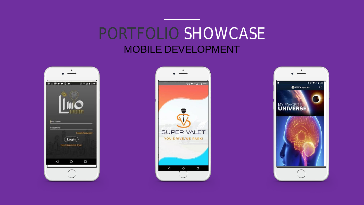## PORTFOLIO SHOWCASE MOBILE DEVELOPMENT





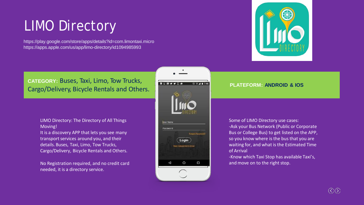# LIMO Directory

https://play.google.com/store/apps/details?id=com.limontaxi.micro https://apps.apple.com/us/app/limo-directory/id1094985993



### **CATEGORY:** Buses, Taxi, Limo, Tow Trucks, Cargo/Delivery, Bicycle Rentals and Others.

LIMO Directory: The Directory of All Things Moving!

It is a discovery APP that lets you see many transport services around you, and their details. Buses, Taxi, Limo, Tow Trucks, Cargo/Delivery, Bicycle Rentals and Others.

No Registration required, and no credit card needed, it is a directory service.



### **PLATEFORM: ANDROID & IOS**

Some of LIMO Directory use cases: -Ask your Bus Network (Public or Corporate Bus or College Bus) to get listed on the APP, so you know where is the bus that you are waiting for, and what is the Estimated Time of Arrival

-Know which Taxi Stop has available Taxi's, and move on to the right stop.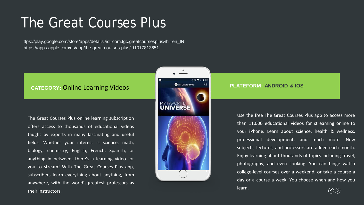## The Great Courses Plus

ttps://play.google.com/store/apps/details?id=com.tgc.greatcoursesplus&hl=en\_IN https://apps.apple.com/us/app/the-great-courses-plus/id1017813651

### **CATEGORY:** Online Learning Videos

The Great Courses Plus online learning subscription offers access to thousands of educational videos taught by experts in many fascinating and useful fields. Whether your interest is science, math, biology, chemistry, English, French, Spanish, or anything in between, there's a learning video for you to stream! With The Great Courses Plus app, subscribers learn everything about anything, from anywhere, with the world's greatest professors as their instructors.



### **PLATEFORM: ANDROID & IOS**

Use the free The Great Courses Plus app to access more than 11,000 educational videos for streaming online to your iPhone. Learn about science, health & wellness, professional development, and much more. New subjects, lectures, and professors are added each month. Enjoy learning about thousands of topics including travel, photography, and even cooking. You can binge watch college-level courses over a weekend, or take a course a day or a course a week. You choose when and how you learn.